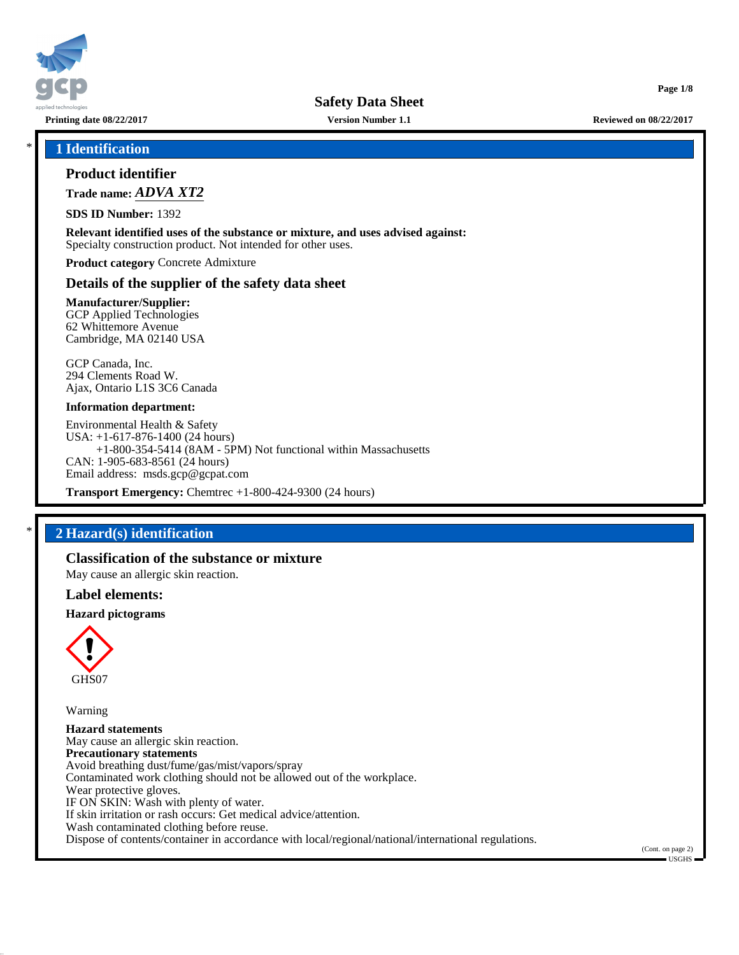

**Page 1/8**

\* **1 Identification**

## **Product identifier**

**Trade name:** *ADVA XT2*

**SDS ID Number:** 1392

**Relevant identified uses of the substance or mixture, and uses advised against:** Specialty construction product. Not intended for other uses.

**Product category** Concrete Admixture

#### **Details of the supplier of the safety data sheet**

**Manufacturer/Supplier:** GCP Applied Technologies 62 Whittemore Avenue Cambridge, MA 02140 USA

GCP Canada, Inc. 294 Clements Road W. Ajax, Ontario L1S 3C6 Canada

#### **Information department:**

Environmental Health & Safety USA: +1-617-876-1400 (24 hours) +1-800-354-5414 (8AM - 5PM) Not functional within Massachusetts CAN: 1-905-683-8561 (24 hours) Email address: msds.gcp@gcpat.com

**Transport Emergency:** Chemtrec +1-800-424-9300 (24 hours)

## \* **2 Hazard(s) identification**

### **Classification of the substance or mixture**

May cause an allergic skin reaction.

#### **Label elements:**

#### **Hazard pictograms**



Warning

**Hazard statements** May cause an allergic skin reaction. **Precautionary statements** Avoid breathing dust/fume/gas/mist/vapors/spray Contaminated work clothing should not be allowed out of the workplace. Wear protective gloves. IF ON SKIN: Wash with plenty of water. If skin irritation or rash occurs: Get medical advice/attention. Wash contaminated clothing before reuse. Dispose of contents/container in accordance with local/regional/national/international regulations.

(Cont. on page 2) USGHS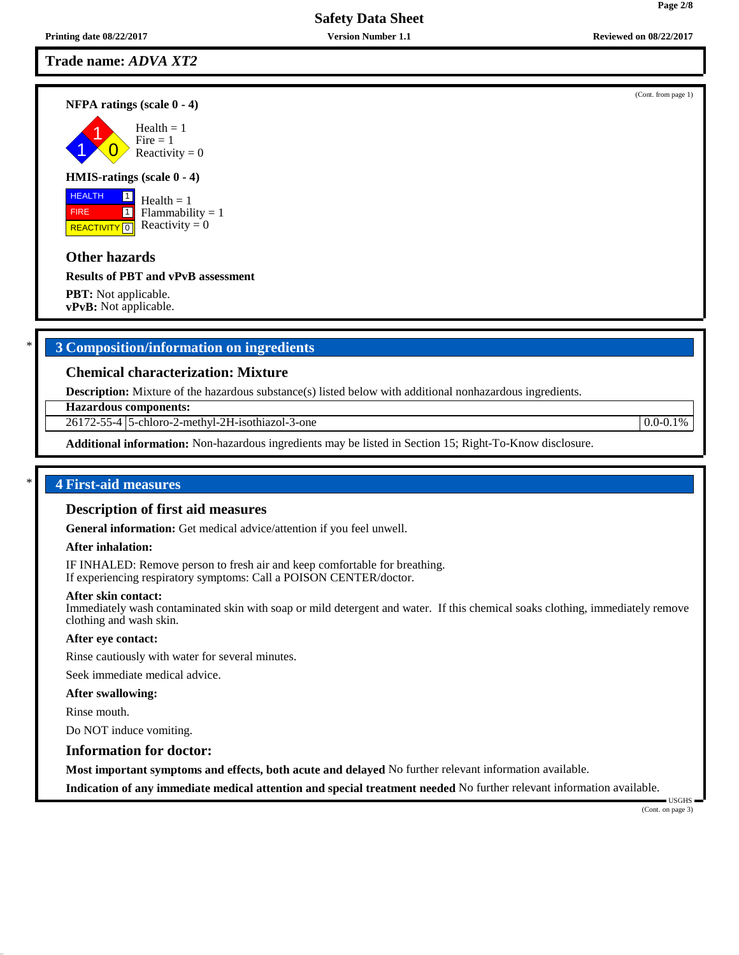### **Trade name:** *ADVA XT2*

#### **NFPA ratings (scale 0 - 4)**

1 1  $\overline{\mathbf{0}}$  $Health = 1$  $Fire = 1$ Reactivity  $= 0$ 

#### **HMIS-ratings (scale 0 - 4)**

 HEALTH FIRE **REACTIVITY** 0  $\boxed{1}$  $\boxed{1}$ 

 $Health = 1$ Flammability  $= 1$ Reactivity  $= 0$ 

### **Other hazards**

#### **Results of PBT and vPvB assessment**

**PBT:** Not applicable. **vPvB:** Not applicable.

## \* **3 Composition/information on ingredients**

## **Chemical characterization: Mixture**

**Description:** Mixture of the hazardous substance(s) listed below with additional nonhazardous ingredients.

**Hazardous components:**

26172-55-4 5-chloro-2-methyl-2H-isothiazol-3-one 0.0-0.1%

**Additional information:** Non-hazardous ingredients may be listed in Section 15; Right-To-Know disclosure.

#### \* **4 First-aid measures**

#### **Description of first aid measures**

**General information:** Get medical advice/attention if you feel unwell.

#### **After inhalation:**

IF INHALED: Remove person to fresh air and keep comfortable for breathing. If experiencing respiratory symptoms: Call a POISON CENTER/doctor.

#### **After skin contact:**

Immediately wash contaminated skin with soap or mild detergent and water. If this chemical soaks clothing, immediately remove clothing and wash skin.

#### **After eye contact:**

Rinse cautiously with water for several minutes.

Seek immediate medical advice.

#### **After swallowing:**

Rinse mouth.

Do NOT induce vomiting.

## **Information for doctor:**

**Most important symptoms and effects, both acute and delayed** No further relevant information available.

**Indication of any immediate medical attention and special treatment needed** No further relevant information available.

(Cont. on page 3)

USGHS

(Cont. from page 1)

**Page 2/8**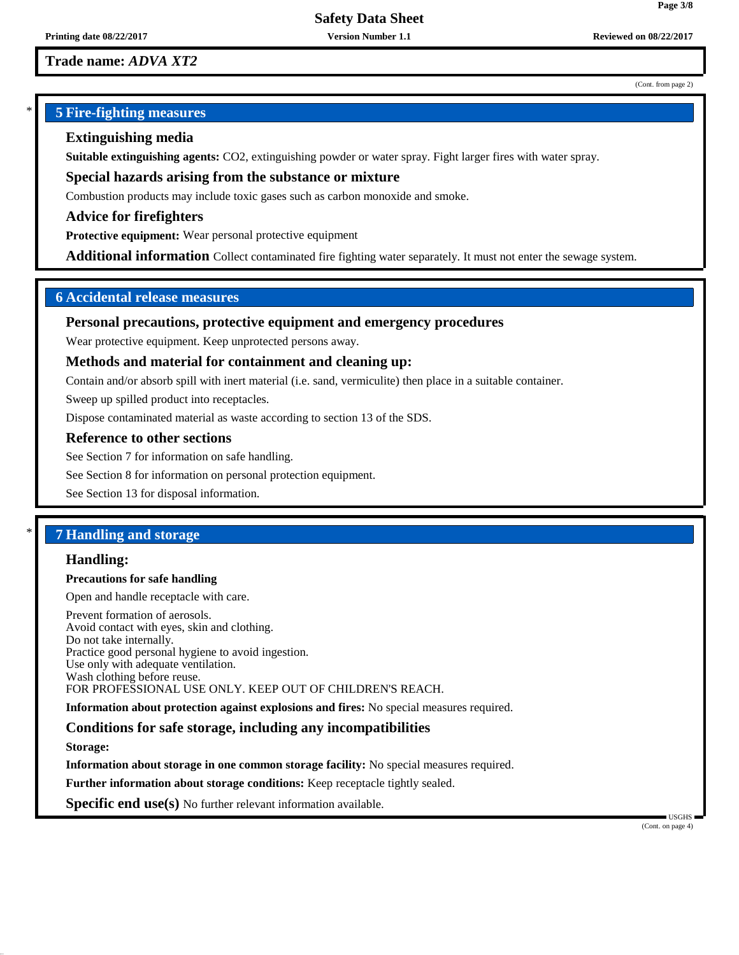## **Trade name:** *ADVA XT2*

#### (Cont. from page 2)

**Page 3/8**

## \* **5 Fire-fighting measures**

## **Extinguishing media**

**Suitable extinguishing agents:** CO2, extinguishing powder or water spray. Fight larger fires with water spray.

**Special hazards arising from the substance or mixture**

Combustion products may include toxic gases such as carbon monoxide and smoke.

**Advice for firefighters**

**Protective equipment:** Wear personal protective equipment

**Additional information** Collect contaminated fire fighting water separately. It must not enter the sewage system.

## **6 Accidental release measures**

#### **Personal precautions, protective equipment and emergency procedures**

Wear protective equipment. Keep unprotected persons away.

#### **Methods and material for containment and cleaning up:**

Contain and/or absorb spill with inert material (i.e. sand, vermiculite) then place in a suitable container.

Sweep up spilled product into receptacles.

Dispose contaminated material as waste according to section 13 of the SDS.

## **Reference to other sections**

See Section 7 for information on safe handling.

See Section 8 for information on personal protection equipment.

See Section 13 for disposal information.

# \* **7 Handling and storage**

## **Handling:**

#### **Precautions for safe handling**

Open and handle receptacle with care.

Prevent formation of aerosols. Avoid contact with eyes, skin and clothing. Do not take internally. Practice good personal hygiene to avoid ingestion. Use only with adequate ventilation. Wash clothing before reuse. FOR PROFESSIONAL USE ONLY. KEEP OUT OF CHILDREN'S REACH.

**Information about protection against explosions and fires:** No special measures required.

## **Conditions for safe storage, including any incompatibilities**

**Storage:**

**Information about storage in one common storage facility:** No special measures required.

**Further information about storage conditions:** Keep receptacle tightly sealed.

**Specific end use(s)** No further relevant information available.

(Cont. on page 4)

USGHS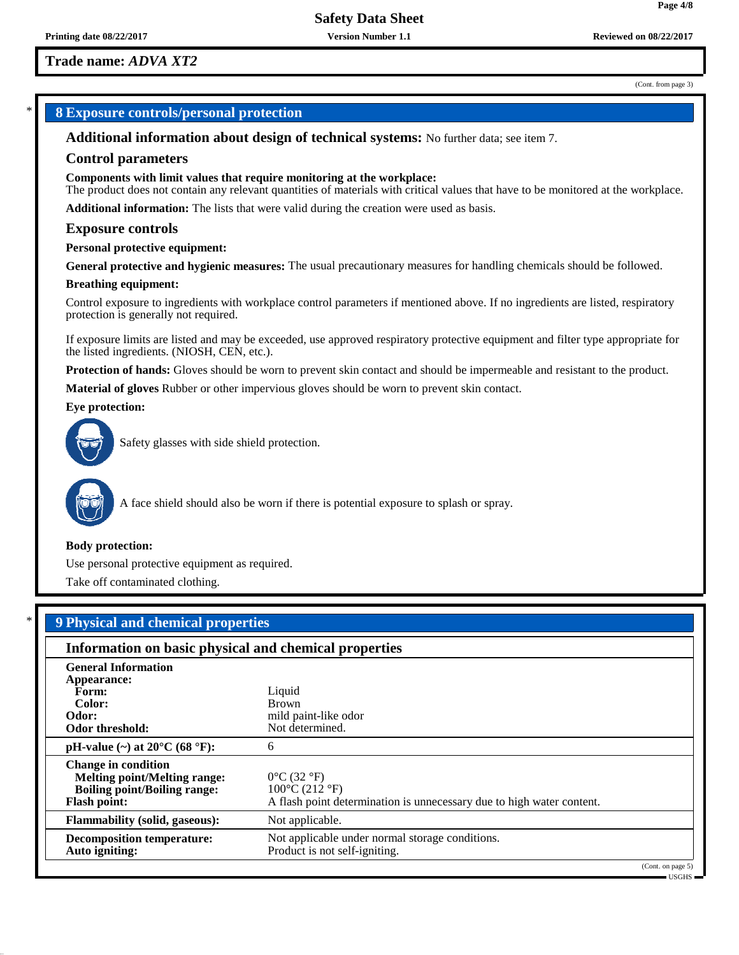## **Trade name:** *ADVA XT2*

#### (Cont. from page 3)

## \* **8 Exposure controls/personal protection**

**Additional information about design of technical systems:** No further data; see item 7.

#### **Control parameters**

**Components with limit values that require monitoring at the workplace:**

The product does not contain any relevant quantities of materials with critical values that have to be monitored at the workplace.

**Additional information:** The lists that were valid during the creation were used as basis.

#### **Exposure controls**

#### **Personal protective equipment:**

**General protective and hygienic measures:** The usual precautionary measures for handling chemicals should be followed.

#### **Breathing equipment:**

Control exposure to ingredients with workplace control parameters if mentioned above. If no ingredients are listed, respiratory protection is generally not required.

If exposure limits are listed and may be exceeded, use approved respiratory protective equipment and filter type appropriate for the listed ingredients. (NIOSH, CEN, etc.).

**Protection of hands:** Gloves should be worn to prevent skin contact and should be impermeable and resistant to the product.

**Material of gloves** Rubber or other impervious gloves should be worn to prevent skin contact.

#### **Eye protection:**



Safety glasses with side shield protection.



A face shield should also be worn if there is potential exposure to splash or spray.

#### **Body protection:**

Use personal protective equipment as required.

Take off contaminated clothing.

| <b>9 Physical and chemical properties</b><br>Information on basic physical and chemical properties                              |                                                                                                                                                |  |  |  |
|---------------------------------------------------------------------------------------------------------------------------------|------------------------------------------------------------------------------------------------------------------------------------------------|--|--|--|
|                                                                                                                                 |                                                                                                                                                |  |  |  |
| Form:<br>Color:                                                                                                                 | Liquid<br><b>Brown</b>                                                                                                                         |  |  |  |
| Odor:<br>Odor threshold:                                                                                                        | mild paint-like odor<br>Not determined.                                                                                                        |  |  |  |
| pH-value $(\sim)$ at 20 $^{\circ}$ C (68 $^{\circ}$ F):                                                                         | 6                                                                                                                                              |  |  |  |
| <b>Change in condition</b><br><b>Melting point/Melting range:</b><br><b>Boiling point/Boiling range:</b><br><b>Flash point:</b> | $0^{\circ}$ C (32 $^{\circ}$ F)<br>$100^{\circ}$ C (212 $^{\circ}$ F)<br>A flash point determination is unnecessary due to high water content. |  |  |  |
| <b>Flammability (solid, gaseous):</b>                                                                                           | Not applicable.                                                                                                                                |  |  |  |
| <b>Decomposition temperature:</b><br>Auto igniting:                                                                             | Not applicable under normal storage conditions.<br>Product is not self-igniting.                                                               |  |  |  |

(Cont. on page 5) USGHS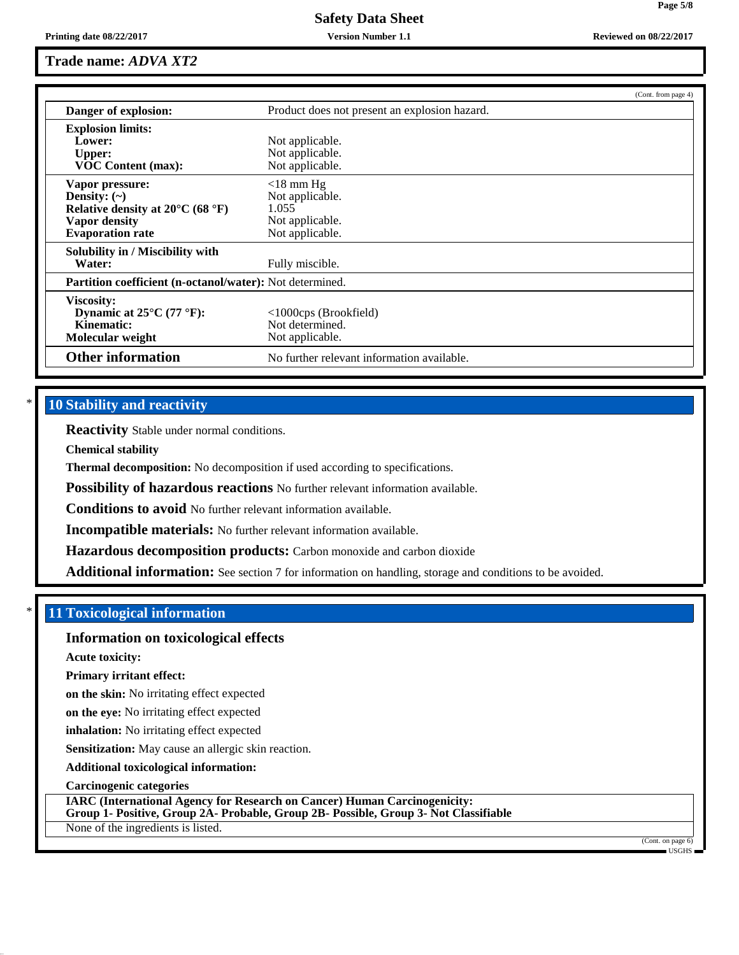## **Trade name:** *ADVA XT2*

|                                                          |                                               | (Cont. from page 4) |  |
|----------------------------------------------------------|-----------------------------------------------|---------------------|--|
| Danger of explosion:                                     | Product does not present an explosion hazard. |                     |  |
| <b>Explosion limits:</b>                                 |                                               |                     |  |
| Lower:                                                   | Not applicable.                               |                     |  |
| Upper:                                                   | Not applicable.                               |                     |  |
| <b>VOC Content (max):</b>                                | Not applicable.                               |                     |  |
| Vapor pressure:                                          | $<$ 18 mm Hg                                  |                     |  |
| Density: $(\sim)$                                        | Not applicable.                               |                     |  |
| Relative density at $20^{\circ}$ C (68 $^{\circ}$ F)     | 1.055                                         |                     |  |
| Vapor density                                            | Not applicable.                               |                     |  |
| <b>Evaporation rate</b>                                  | Not applicable.                               |                     |  |
| Solubility in / Miscibility with                         |                                               |                     |  |
| Water:                                                   | Fully miscible.                               |                     |  |
| Partition coefficient (n-octanol/water): Not determined. |                                               |                     |  |
| Viscosity:                                               |                                               |                     |  |
| Dynamic at $25^{\circ}$ C (77 °F):                       | $\langle$ 1000cps (Brookfield)                |                     |  |
| Kinematic:                                               | Not determined.                               |                     |  |
| Molecular weight                                         | Not applicable.                               |                     |  |
| <b>Other information</b>                                 | No further relevant information available.    |                     |  |

## **10 Stability and reactivity**

**Reactivity** Stable under normal conditions.

**Chemical stability**

**Thermal decomposition:** No decomposition if used according to specifications.

**Possibility of hazardous reactions** No further relevant information available.

**Conditions to avoid** No further relevant information available.

**Incompatible materials:** No further relevant information available.

**Hazardous decomposition products:** Carbon monoxide and carbon dioxide

**Additional information:** See section 7 for information on handling, storage and conditions to be avoided.

## \* **11 Toxicological information**

## **Information on toxicological effects**

**Acute toxicity:**

**Primary irritant effect:**

**on the skin:** No irritating effect expected

**on the eye:** No irritating effect expected

**inhalation:** No irritating effect expected

**Sensitization:** May cause an allergic skin reaction.

**Additional toxicological information:**

**Carcinogenic categories**

**IARC (International Agency for Research on Cancer) Human Carcinogenicity: Group 1- Positive, Group 2A- Probable, Group 2B- Possible, Group 3- Not Classifiable**

None of the ingredients is listed.

(Cont. on page 6) USGHS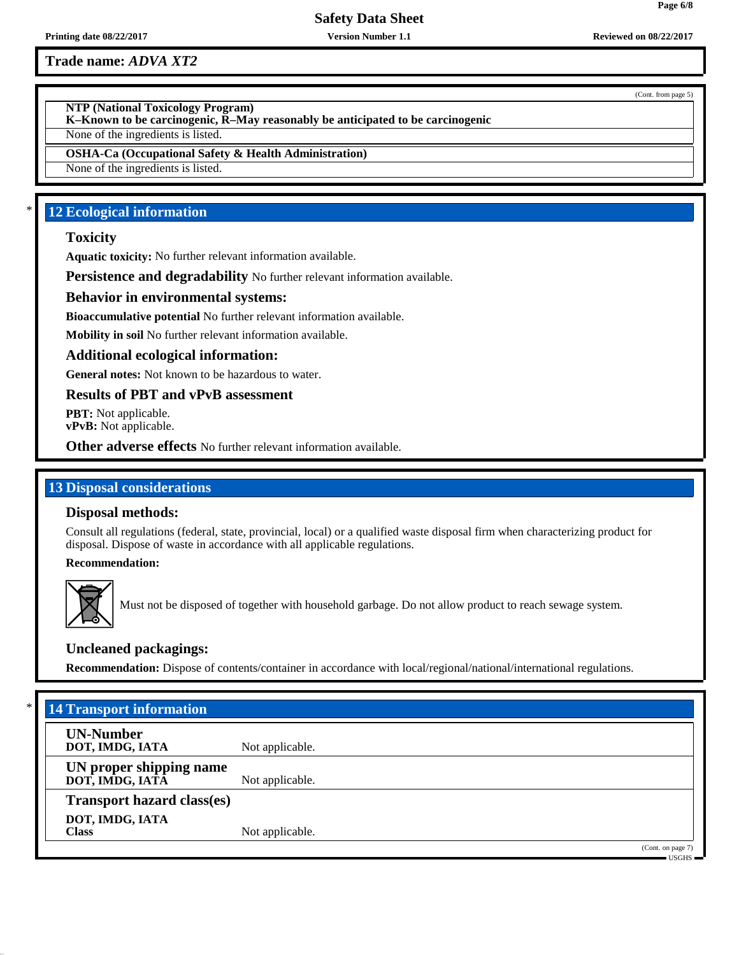**Printing date 08/22/2017 Version Number 1.1 Reviewed on 08/22/2017**

**Trade name:** *ADVA XT2*

**NTP (National Toxicology Program)**

**K–Known to be carcinogenic, R–May reasonably be anticipated to be carcinogenic**

None of the ingredients is listed.

**OSHA-Ca (Occupational Safety & Health Administration)**

None of the ingredients is listed.

# **12 Ecological information**

## **Toxicity**

**Aquatic toxicity:** No further relevant information available.

**Persistence and degradability** No further relevant information available.

## **Behavior in environmental systems:**

**Bioaccumulative potential** No further relevant information available.

**Mobility in soil** No further relevant information available.

## **Additional ecological information:**

**General notes:** Not known to be hazardous to water.

**Results of PBT and vPvB assessment**

**PBT:** Not applicable. **vPvB:** Not applicable.

**Other adverse effects** No further relevant information available.

## **13 Disposal considerations**

## **Disposal methods:**

Consult all regulations (federal, state, provincial, local) or a qualified waste disposal firm when characterizing product for disposal. Dispose of waste in accordance with all applicable regulations.

**Recommendation:**



Must not be disposed of together with household garbage. Do not allow product to reach sewage system.

## **Uncleaned packagings:**

**Recommendation:** Dispose of contents/container in accordance with local/regional/national/international regulations.

| <b>14 Transport information</b>            |                 |                                                                              |
|--------------------------------------------|-----------------|------------------------------------------------------------------------------|
| <b>UN-Number</b><br>DOT, IMDG, IATA        | Not applicable. |                                                                              |
| UN proper shipping name<br>DOT, IMDG, IATĀ | Not applicable. |                                                                              |
| <b>Transport hazard class(es)</b>          |                 |                                                                              |
| DOT, IMDG, IATA<br><b>Class</b>            | Not applicable. |                                                                              |
|                                            |                 | (Cont. on page 7)<br>$\overline{\phantom{a}}$ usghs $\overline{\phantom{a}}$ |

(Cont. from page 5)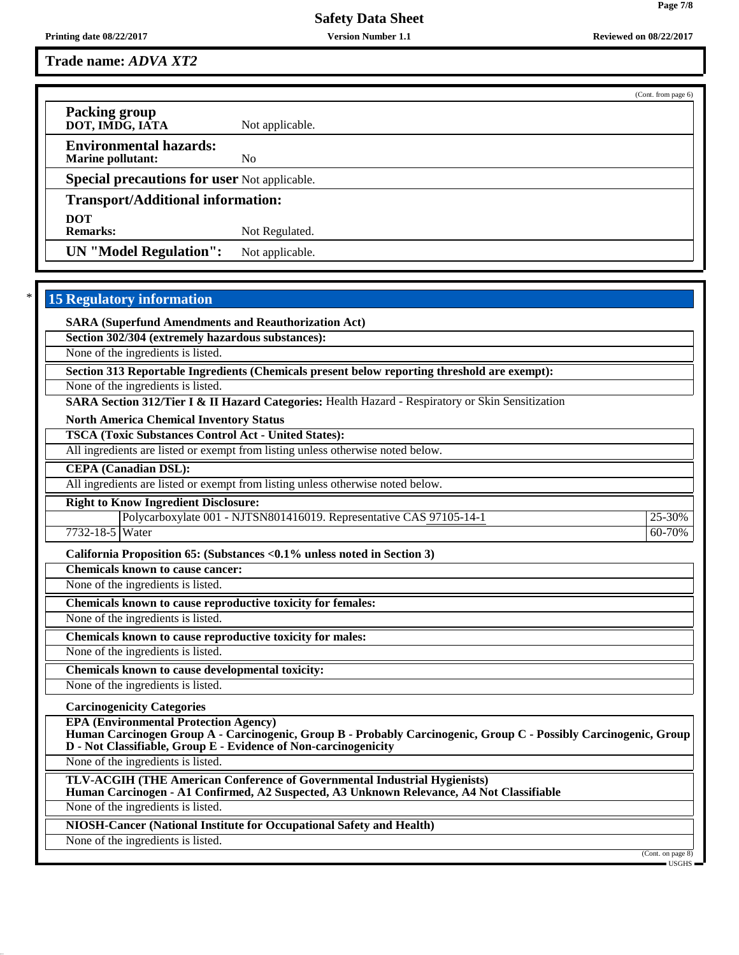**Printing date 08/22/2017 Version Number 1.1 Reviewed on 08/22/2017**

**Trade name:** *ADVA XT2*

(Cont. from page 6) **Packing group DOT, IMDG, IATA** Not applicable. **Environmental hazards: Marine pollutant:** No **Special precautions for user** Not applicable. **Transport/Additional information: DOT** Not Regulated. **UN "Model Regulation":** Not applicable.

# **15 Regulatory information**

**SARA (Superfund Amendments and Reauthorization Act)**

**Section 302/304 (extremely hazardous substances):**

None of the ingredients is listed.

**Section 313 Reportable Ingredients (Chemicals present below reporting threshold are exempt):**

None of the ingredients is listed.

**SARA Section 312/Tier I & II Hazard Categories:** Health Hazard - Respiratory or Skin Sensitization

**North America Chemical Inventory Status**

**TSCA (Toxic Substances Control Act - United States):**

All ingredients are listed or exempt from listing unless otherwise noted below.

**CEPA (Canadian DSL):**

All ingredients are listed or exempt from listing unless otherwise noted below.

**Right to Know Ingredient Disclosure:**

Polycarboxylate 001 - NJTSN801416019. Representative CAS 97105-14-1 25-30%

7732-18-5 Water 60-70%

**California Proposition 65: (Substances <0.1% unless noted in Section 3)**

**Chemicals known to cause cancer:**

None of the ingredients is listed.

**Chemicals known to cause reproductive toxicity for females:**

None of the ingredients is listed.

**Chemicals known to cause reproductive toxicity for males:**

None of the ingredients is listed.

**Chemicals known to cause developmental toxicity:**

None of the ingredients is listed.

**Carcinogenicity Categories**

**EPA (Environmental Protection Agency)**

**Human Carcinogen Group A - Carcinogenic, Group B - Probably Carcinogenic, Group C - Possibly Carcinogenic, Group D - Not Classifiable, Group E - Evidence of Non-carcinogenicity**

None of the ingredients is listed.

**TLV-ACGIH (THE American Conference of Governmental Industrial Hygienists) Human Carcinogen - A1 Confirmed, A2 Suspected, A3 Unknown Relevance, A4 Not Classifiable**

None of the ingredients is listed.

**NIOSH-Cancer (National Institute for Occupational Safety and Health)**

None of the ingredients is listed.

(Cont. on page

USGHS